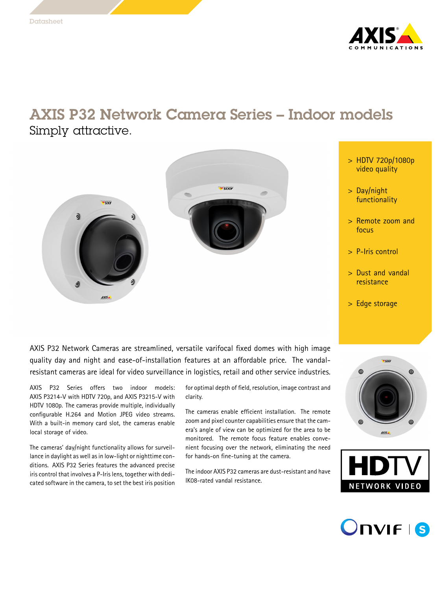

## AXIS P32 Network Camera Series – Indoor models Simply attractive.





- <sup>&</sup>gt; HDTV 720p/1080p video quality
- <sup>&</sup>gt; Day/night functionality
- <sup>&</sup>gt; Remote zoom and focus
- <sup>&</sup>gt; P-Iris control
- <sup>&</sup>gt; Dust and vandal resistance
- <sup>&</sup>gt; Edge storage

AXIS P32 Network Cameras are streamlined, versatile varifocal fixed domes with high image quality day and night and ease-of-installation features at an affordable price. The vandalresistant cameras are ideal for video surveillance in logistics, retail and other service industries.

AXIS P32 Series offers two indoor models: AXIS P3214-V with HDTV 720p, and AXIS P3215-V with HDTV 1080p. The cameras provide multiple, individually configurable H.264 and Motion JPEG video streams. With <sup>a</sup> built-in memory card slot, the cameras enable local storage of video.

The cameras' day/night functionality allows for surveillance in daylight as well as in low-light or nighttime conditions. AXIS P32 Series features the advanced precise iris control that involves a P-Iris lens, together with dedicated software in the camera, to set the best iris position

for optimal depth of field, resolution, image contrast and clarity.

The cameras enable efficient installation. The remote zoom and pixel counter capabilities ensure that the camera's angle of view can be optimized for the area to be monitored. The remote focus feature enables convenient focusing over the network, eliminating the need for hands-on fine-tuning at the camera.

The indoor AXIS P32 cameras are dust-resistant and have IK08-rated vandal resistance.